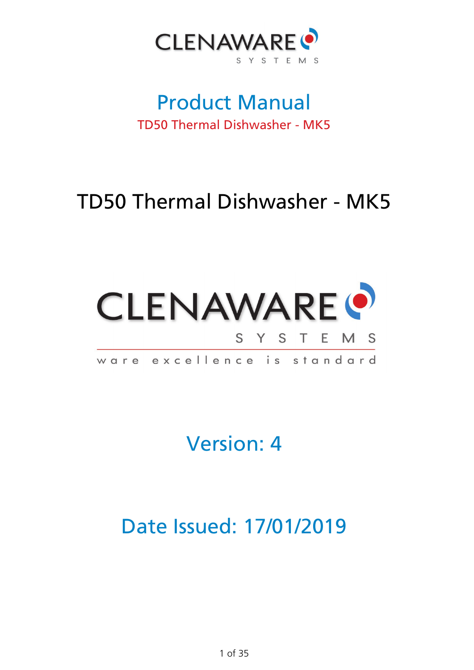

## Product Manual TD50 Thermal Dishwasher - MK5

# TD50 Thermal Dishwasher - MK5



Version: 4

Date Issued: 17/01/2019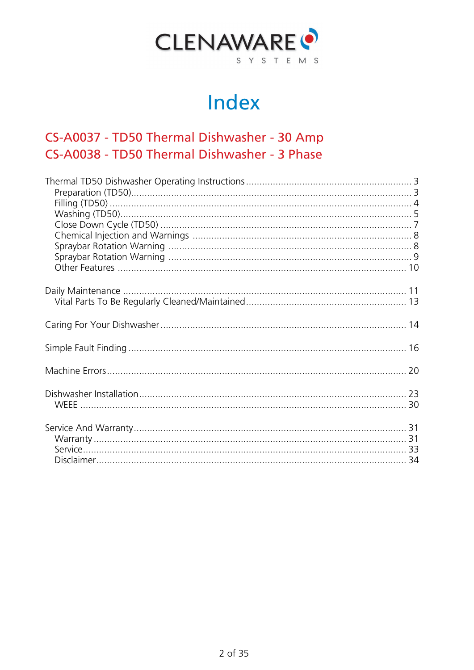

# Index

#### CS-A0037 - TD50 Thermal Dishwasher - 30 Amp CS-A0038 - TD50 Thermal Dishwasher - 3 Phase

<span id="page-1-0"></span>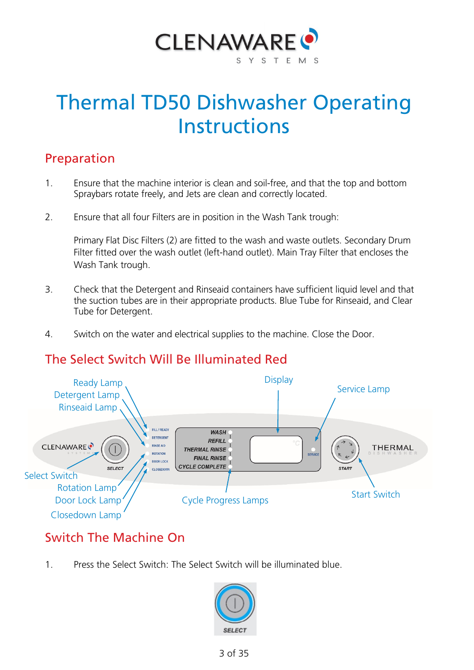

# Thermal TD50 Dishwasher Operating **Instructions**

#### <span id="page-2-0"></span>Preparation

- 1. Ensure that the machine interior is clean and soil-free, and that the top and bottom Spraybars rotate freely, and Jets are clean and correctly located.
- 2. Ensure that all four Filters are in position in the Wash Tank trough:

Primary Flat Disc Filters (2) are fitted to the wash and waste outlets. Secondary Drum Filter fitted over the wash outlet (left-hand outlet). Main Tray Filter that encloses the Wash Tank trough.

- 3. Check that the Detergent and Rinseaid containers have sufficient liquid level and that the suction tubes are in their appropriate products. Blue Tube for Rinseaid, and Clear Tube for Detergent.
- 4. Switch on the water and electrical supplies to the machine. Close the Door.

#### The Select Switch Will Be Illuminated Red



#### Switch The Machine On

1. Press the Select Switch: The Select Switch will be illuminated blue.

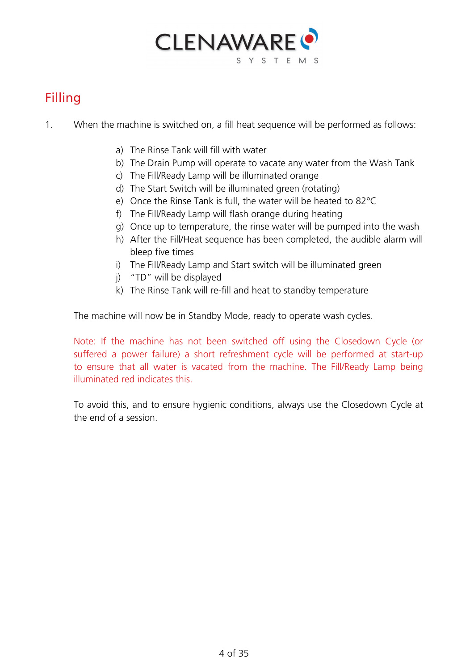

### <span id="page-3-0"></span>Filling

- 1. When the machine is switched on, a fill heat sequence will be performed as follows:
	- a) The Rinse Tank will fill with water
	- b) The Drain Pump will operate to vacate any water from the Wash Tank
	- c) The Fill/Ready Lamp will be illuminated orange
	- d) The Start Switch will be illuminated green (rotating)
	- e) Once the Rinse Tank is full, the water will be heated to 82°C
	- f) The Fill/Ready Lamp will flash orange during heating
	- g) Once up to temperature, the rinse water will be pumped into the wash
	- h) After the Fill/Heat sequence has been completed, the audible alarm will bleep five times
	- i) The Fill/Ready Lamp and Start switch will be illuminated green
	- j) "TD" will be displayed
	- k) The Rinse Tank will re-fill and heat to standby temperature

The machine will now be in Standby Mode, ready to operate wash cycles.

Note: If the machine has not been switched off using the Closedown Cycle (or suffered a power failure) a short refreshment cycle will be performed at start-up to ensure that all water is vacated from the machine. The Fill/Ready Lamp being illuminated red indicates this.

<span id="page-3-1"></span>To avoid this, and to ensure hygienic conditions, always use the Closedown Cycle at the end of a session.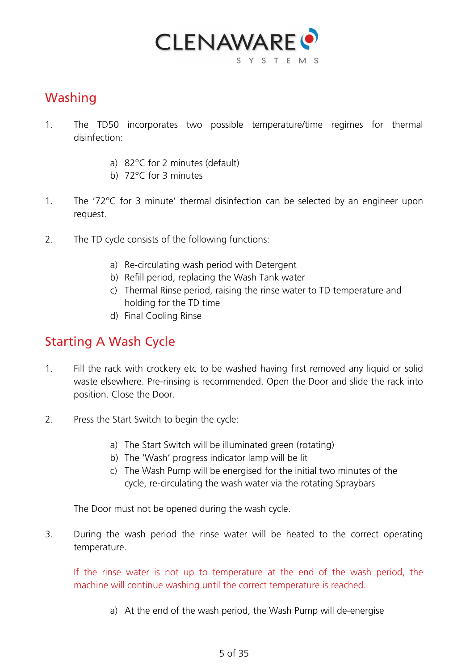

#### Washing

- 1. The TD50 incorporates two possible temperature/time regimes for thermal disinfection:
	- a) 82°C for 2 minutes (default)
	- b) 72°C for 3 minutes
- 1. The '72°C for 3 minute' thermal disinfection can be selected by an engineer upon request.
- 2. The TD cycle consists of the following functions:
	- a) Re-circulating wash period with Detergent
	- b) Refill period, replacing the Wash Tank water
	- c) Thermal Rinse period, raising the rinse water to TD temperature and holding for the TD time
	- d) Final Cooling Rinse

#### Starting A Wash Cycle

- 1. Fill the rack with crockery etc to be washed having first removed any liquid or solid waste elsewhere. Pre-rinsing is recommended. Open the Door and slide the rack into position. Close the Door.
- 2. Press the Start Switch to begin the cycle:
	- a) The Start Switch will be illuminated green (rotating)
	- b) The 'Wash' progress indicator lamp will be lit
	- c) The Wash Pump will be energised for the initial two minutes of the cycle, re-circulating the wash water via the rotating Spraybars

The Door must not be opened during the wash cycle.

3. During the wash period the rinse water will be heated to the correct operating temperature.

If the rinse water is not up to temperature at the end of the wash period, the machine will continue washing until the correct temperature is reached.

a) At the end of the wash period, the Wash Pump will de-energise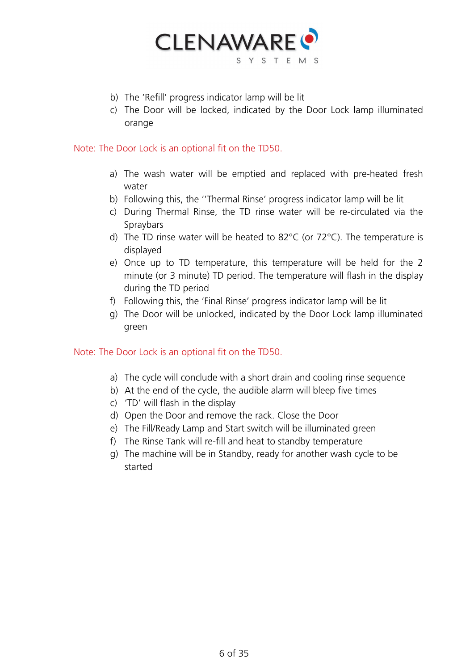

- b) The 'Refill' progress indicator lamp will be lit
- c) The Door will be locked, indicated by the Door Lock lamp illuminated orange

Note: The Door Lock is an optional fit on the TD50.

- a) The wash water will be emptied and replaced with pre-heated fresh water
- b) Following this, the ''Thermal Rinse' progress indicator lamp will be lit
- c) During Thermal Rinse, the TD rinse water will be re-circulated via the **Spraybars**
- d) The TD rinse water will be heated to 82°C (or 72°C). The temperature is displayed
- e) Once up to TD temperature, this temperature will be held for the 2 minute (or 3 minute) TD period. The temperature will flash in the display during the TD period
- f) Following this, the 'Final Rinse' progress indicator lamp will be lit
- g) The Door will be unlocked, indicated by the Door Lock lamp illuminated green

#### Note: The Door Lock is an optional fit on the TD50.

- a) The cycle will conclude with a short drain and cooling rinse sequence
- b) At the end of the cycle, the audible alarm will bleep five times
- c) 'TD' will flash in the display
- d) Open the Door and remove the rack. Close the Door
- e) The Fill/Ready Lamp and Start switch will be illuminated green
- f) The Rinse Tank will re-fill and heat to standby temperature
- <span id="page-5-0"></span>g) The machine will be in Standby, ready for another wash cycle to be started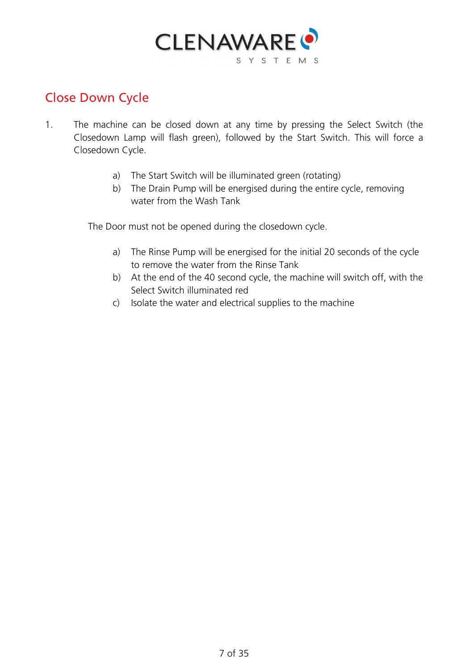

#### Close Down Cycle

- 1. The machine can be closed down at any time by pressing the Select Switch (the Closedown Lamp will flash green), followed by the Start Switch. This will force a Closedown Cycle.
	- a) The Start Switch will be illuminated green (rotating)
	- b) The Drain Pump will be energised during the entire cycle, removing water from the Wash Tank

The Door must not be opened during the closedown cycle.

- a) The Rinse Pump will be energised for the initial 20 seconds of the cycle to remove the water from the Rinse Tank
- b) At the end of the 40 second cycle, the machine will switch off, with the Select Switch illuminated red
- c) Isolate the water and electrical supplies to the machine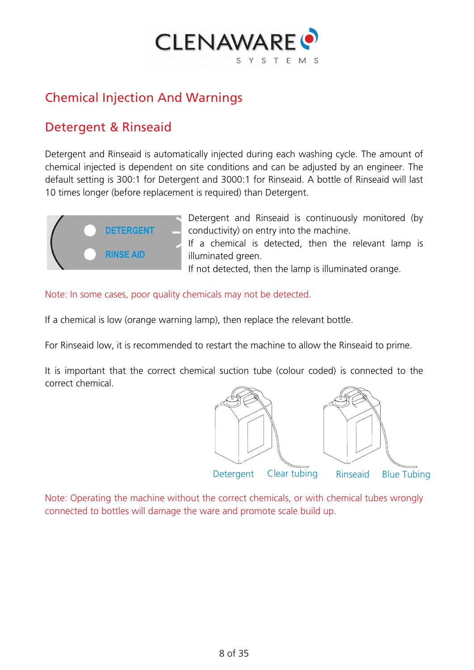

#### <span id="page-7-0"></span>Chemical Injection And Warnings

#### Detergent & Rinseaid

Detergent and Rinseaid is automatically injected during each washing cycle. The amount of chemical injected is dependent on site conditions and can be adjusted by an engineer. The default setting is 300:1 for Detergent and 3000:1 for Rinseaid. A bottle of Rinseaid will last 10 times longer (before replacement is required) than Detergent.



Detergent and Rinseaid is continuously monitored (by conductivity) on entry into the machine. If a chemical is detected, then the relevant lamp is illuminated green. If not detected, then the lamp is illuminated orange.

Note: In some cases, poor quality chemicals may not be detected.

If a chemical is low (orange warning lamp), then replace the relevant bottle.

For Rinseaid low, it is recommended to restart the machine to allow the Rinseaid to prime.

<span id="page-7-1"></span>It is important that the correct chemical suction tube (colour coded) is connected to the correct chemical.

<span id="page-7-2"></span>

Note: Operating the machine without the correct chemicals, or with chemical tubes wrongly connected to bottles will damage the ware and promote scale build up.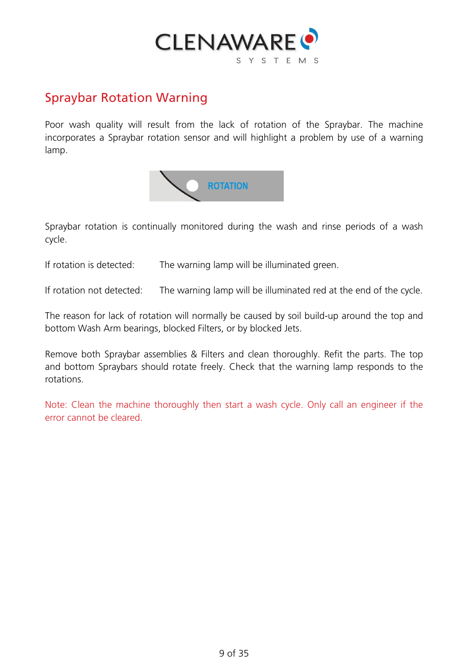

#### Spraybar Rotation Warning

Poor wash quality will result from the lack of rotation of the Spraybar. The machine incorporates a Spraybar rotation sensor and will highlight a problem by use of a warning lamp.



Spraybar rotation is continually monitored during the wash and rinse periods of a wash cycle.

If rotation is detected: The warning lamp will be illuminated green.

If rotation not detected: The warning lamp will be illuminated red at the end of the cycle.

The reason for lack of rotation will normally be caused by soil build-up around the top and bottom Wash Arm bearings, blocked Filters, or by blocked Jets.

Remove both Spraybar assemblies & Filters and clean thoroughly. Refit the parts. The top and bottom Spraybars should rotate freely. Check that the warning lamp responds to the rotations.

<span id="page-8-0"></span>Note: Clean the machine thoroughly then start a wash cycle. Only call an engineer if the error cannot be cleared.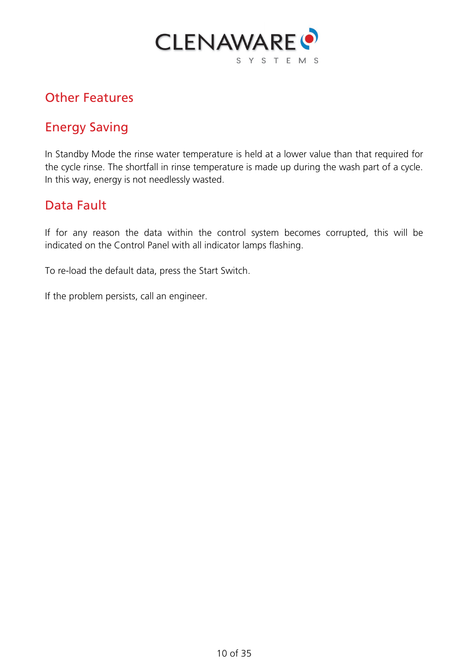

#### Other Features

#### Energy Saving

In Standby Mode the rinse water temperature is held at a lower value than that required for the cycle rinse. The shortfall in rinse temperature is made up during the wash part of a cycle. In this way, energy is not needlessly wasted.

#### Data Fault

If for any reason the data within the control system becomes corrupted, this will be indicated on the Control Panel with all indicator lamps flashing.

To re-load the default data, press the Start Switch.

<span id="page-9-0"></span>If the problem persists, call an engineer.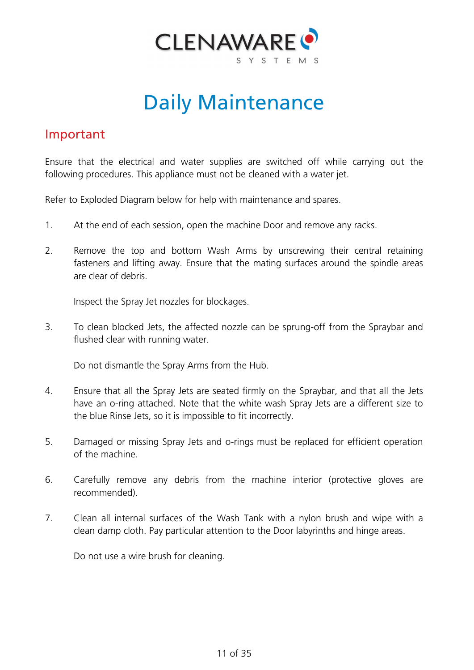

# Daily Maintenance

#### Important

Ensure that the electrical and water supplies are switched off while carrying out the following procedures. This appliance must not be cleaned with a water jet.

Refer to Exploded Diagram below for help with maintenance and spares.

- 1. At the end of each session, open the machine Door and remove any racks.
- 2. Remove the top and bottom Wash Arms by unscrewing their central retaining fasteners and lifting away. Ensure that the mating surfaces around the spindle areas are clear of debris.

Inspect the Spray Jet nozzles for blockages.

3. To clean blocked Jets, the affected nozzle can be sprung-off from the Spraybar and flushed clear with running water.

Do not dismantle the Spray Arms from the Hub.

- 4. Ensure that all the Spray Jets are seated firmly on the Spraybar, and that all the Jets have an o-ring attached. Note that the white wash Spray Jets are a different size to the blue Rinse Jets, so it is impossible to fit incorrectly.
- 5. Damaged or missing Spray Jets and o-rings must be replaced for efficient operation of the machine.
- 6. Carefully remove any debris from the machine interior (protective gloves are recommended).
- 7. Clean all internal surfaces of the Wash Tank with a nylon brush and wipe with a clean damp cloth. Pay particular attention to the Door labyrinths and hinge areas.

Do not use a wire brush for cleaning.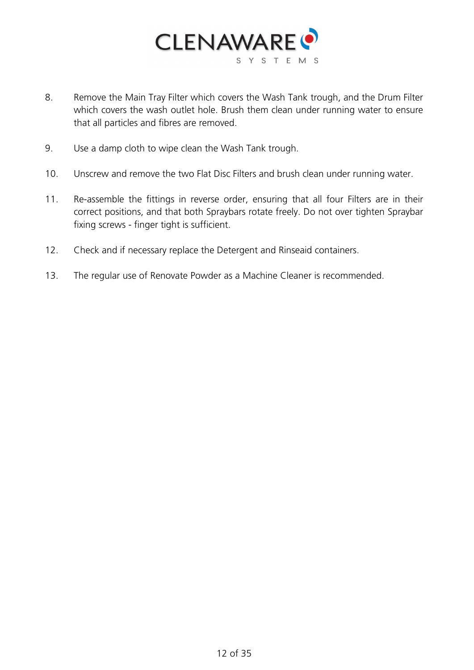

- 8. Remove the Main Tray Filter which covers the Wash Tank trough, and the Drum Filter which covers the wash outlet hole. Brush them clean under running water to ensure that all particles and fibres are removed.
- 9. Use a damp cloth to wipe clean the Wash Tank trough.
- 10. Unscrew and remove the two Flat Disc Filters and brush clean under running water.
- 11. Re-assemble the fittings in reverse order, ensuring that all four Filters are in their correct positions, and that both Spraybars rotate freely. Do not over tighten Spraybar fixing screws - finger tight is sufficient.
- 12. Check and if necessary replace the Detergent and Rinseaid containers.
- 13. The regular use of Renovate Powder as a Machine Cleaner is recommended.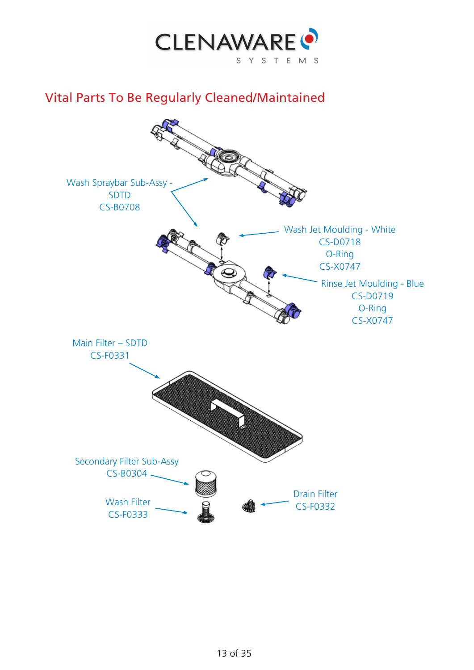

#### <span id="page-12-0"></span>Vital Parts To Be Regularly Cleaned/Maintained

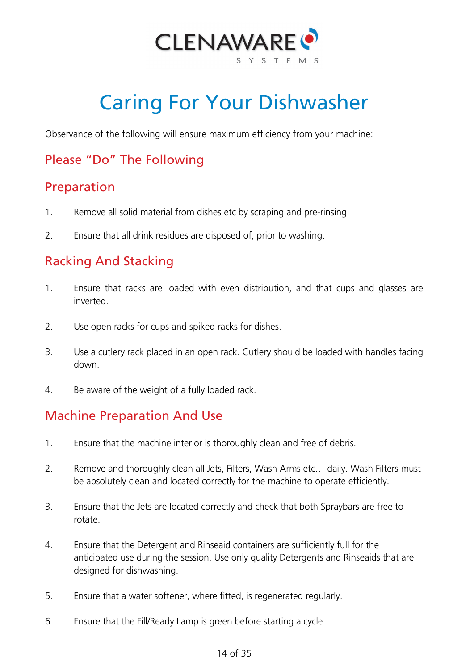

# Caring For Your Dishwasher

<span id="page-13-0"></span>Observance of the following will ensure maximum efficiency from your machine:

#### Please "Do" The Following

#### Preparation

- 1. Remove all solid material from dishes etc by scraping and pre-rinsing.
- 2. Ensure that all drink residues are disposed of, prior to washing.

#### Racking And Stacking

- 1. Ensure that racks are loaded with even distribution, and that cups and glasses are inverted.
- 2. Use open racks for cups and spiked racks for dishes.
- 3. Use a cutlery rack placed in an open rack. Cutlery should be loaded with handles facing down.
- 4. Be aware of the weight of a fully loaded rack.

#### Machine Preparation And Use

- 1. Ensure that the machine interior is thoroughly clean and free of debris.
- 2. Remove and thoroughly clean all Jets, Filters, Wash Arms etc… daily. Wash Filters must be absolutely clean and located correctly for the machine to operate efficiently.
- 3. Ensure that the Jets are located correctly and check that both Spraybars are free to rotate.
- 4. Ensure that the Detergent and Rinseaid containers are sufficiently full for the anticipated use during the session. Use only quality Detergents and Rinseaids that are designed for dishwashing.
- 5. Ensure that a water softener, where fitted, is regenerated regularly.
- 6. Ensure that the Fill/Ready Lamp is green before starting a cycle.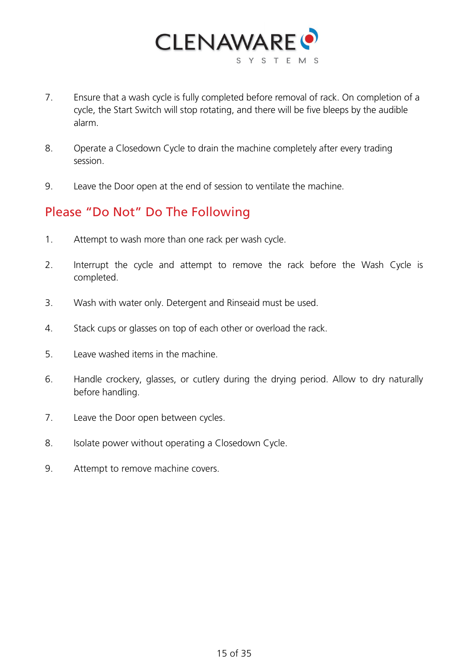

- 7. Ensure that a wash cycle is fully completed before removal of rack. On completion of a cycle, the Start Switch will stop rotating, and there will be five bleeps by the audible alarm.
- 8. Operate a Closedown Cycle to drain the machine completely after every trading session.
- 9. Leave the Door open at the end of session to ventilate the machine.

#### Please "Do Not" Do The Following

- 1. Attempt to wash more than one rack per wash cycle.
- 2. Interrupt the cycle and attempt to remove the rack before the Wash Cycle is completed.
- 3. Wash with water only. Detergent and Rinseaid must be used.
- 4. Stack cups or glasses on top of each other or overload the rack.
- 5. Leave washed items in the machine.
- 6. Handle crockery, glasses, or cutlery during the drying period. Allow to dry naturally before handling.
- 7. Leave the Door open between cycles.
- 8. Isolate power without operating a Closedown Cycle.
- 9. Attempt to remove machine covers.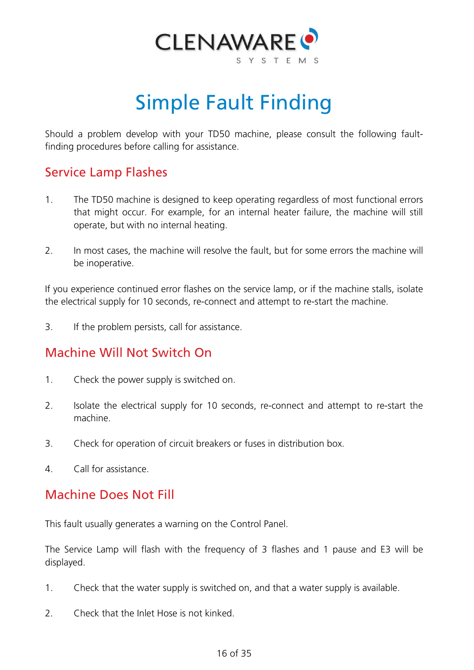

# Simple Fault Finding

<span id="page-15-0"></span>Should a problem develop with your TD50 machine, please consult the following faultfinding procedures before calling for assistance.

#### Service Lamp Flashes

- 1. The TD50 machine is designed to keep operating regardless of most functional errors that might occur. For example, for an internal heater failure, the machine will still operate, but with no internal heating.
- 2. In most cases, the machine will resolve the fault, but for some errors the machine will be inoperative.

If you experience continued error flashes on the service lamp, or if the machine stalls, isolate the electrical supply for 10 seconds, re-connect and attempt to re-start the machine.

3. If the problem persists, call for assistance.

#### Machine Will Not Switch On

- 1. Check the power supply is switched on.
- 2. Isolate the electrical supply for 10 seconds, re-connect and attempt to re-start the machine.
- 3. Check for operation of circuit breakers or fuses in distribution box.
- 4. Call for assistance.

#### Machine Does Not Fill

This fault usually generates a warning on the Control Panel.

The Service Lamp will flash with the frequency of 3 flashes and 1 pause and E3 will be displayed.

- 1. Check that the water supply is switched on, and that a water supply is available.
- 2. Check that the Inlet Hose is not kinked.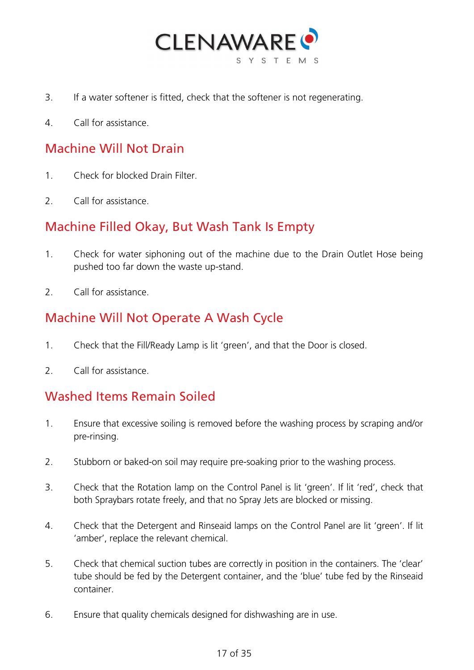

- 3. If a water softener is fitted, check that the softener is not regenerating.
- 4. Call for assistance.

#### Machine Will Not Drain

- 1. Check for blocked Drain Filter.
- 2. Call for assistance.

#### Machine Filled Okay, But Wash Tank Is Empty

- 1. Check for water siphoning out of the machine due to the Drain Outlet Hose being pushed too far down the waste up-stand.
- 2. Call for assistance.

#### Machine Will Not Operate A Wash Cycle

- 1. Check that the Fill/Ready Lamp is lit 'green', and that the Door is closed.
- 2. Call for assistance.

#### Washed Items Remain Soiled

- 1. Ensure that excessive soiling is removed before the washing process by scraping and/or pre-rinsing.
- 2. Stubborn or baked-on soil may require pre-soaking prior to the washing process.
- 3. Check that the Rotation lamp on the Control Panel is lit 'green'. If lit 'red', check that both Spraybars rotate freely, and that no Spray Jets are blocked or missing.
- 4. Check that the Detergent and Rinseaid lamps on the Control Panel are lit 'green'. If lit 'amber', replace the relevant chemical.
- 5. Check that chemical suction tubes are correctly in position in the containers. The 'clear' tube should be fed by the Detergent container, and the 'blue' tube fed by the Rinseaid container.
- 6. Ensure that quality chemicals designed for dishwashing are in use.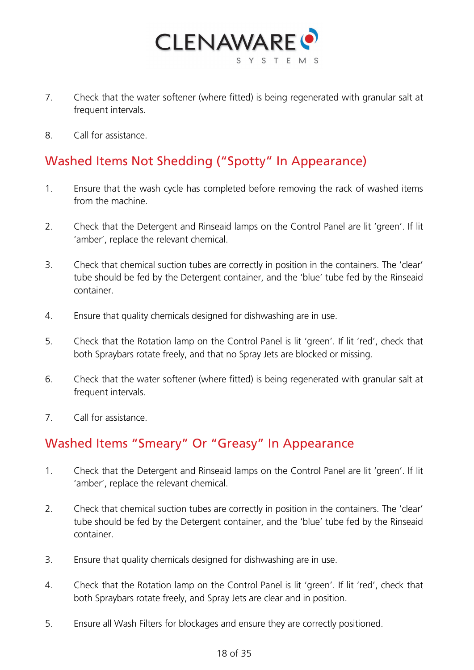

- 7. Check that the water softener (where fitted) is being regenerated with granular salt at frequent intervals.
- 8. Call for assistance.

### Washed Items Not Shedding ("Spotty" In Appearance)

- 1. Ensure that the wash cycle has completed before removing the rack of washed items from the machine.
- 2. Check that the Detergent and Rinseaid lamps on the Control Panel are lit 'green'. If lit 'amber', replace the relevant chemical.
- 3. Check that chemical suction tubes are correctly in position in the containers. The 'clear' tube should be fed by the Detergent container, and the 'blue' tube fed by the Rinseaid container.
- 4. Ensure that quality chemicals designed for dishwashing are in use.
- 5. Check that the Rotation lamp on the Control Panel is lit 'green'. If lit 'red', check that both Spraybars rotate freely, and that no Spray Jets are blocked or missing.
- 6. Check that the water softener (where fitted) is being regenerated with granular salt at frequent intervals.
- 7. Call for assistance.

#### Washed Items "Smeary" Or "Greasy" In Appearance

- 1. Check that the Detergent and Rinseaid lamps on the Control Panel are lit 'green'. If lit 'amber', replace the relevant chemical.
- 2. Check that chemical suction tubes are correctly in position in the containers. The 'clear' tube should be fed by the Detergent container, and the 'blue' tube fed by the Rinseaid container.
- 3. Ensure that quality chemicals designed for dishwashing are in use.
- 4. Check that the Rotation lamp on the Control Panel is lit 'green'. If lit 'red', check that both Spraybars rotate freely, and Spray Jets are clear and in position.
- 5. Ensure all Wash Filters for blockages and ensure they are correctly positioned.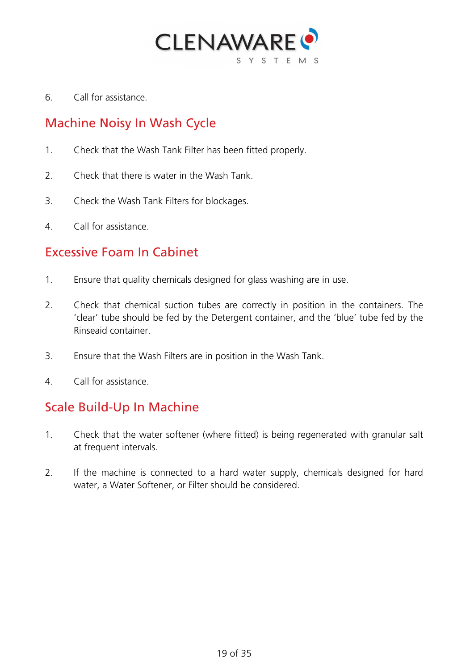

6. Call for assistance.

#### Machine Noisy In Wash Cycle

- 1. Check that the Wash Tank Filter has been fitted properly.
- 2. Check that there is water in the Wash Tank.
- 3. Check the Wash Tank Filters for blockages.
- 4. Call for assistance.

#### Excessive Foam In Cabinet

- 1. Ensure that quality chemicals designed for glass washing are in use.
- 2. Check that chemical suction tubes are correctly in position in the containers. The 'clear' tube should be fed by the Detergent container, and the 'blue' tube fed by the Rinseaid container.
- 3. Ensure that the Wash Filters are in position in the Wash Tank.
- 4. Call for assistance.

#### Scale Build-Up In Machine

- 1. Check that the water softener (where fitted) is being regenerated with granular salt at frequent intervals.
- 2. If the machine is connected to a hard water supply, chemicals designed for hard water, a Water Softener, or Filter should be considered.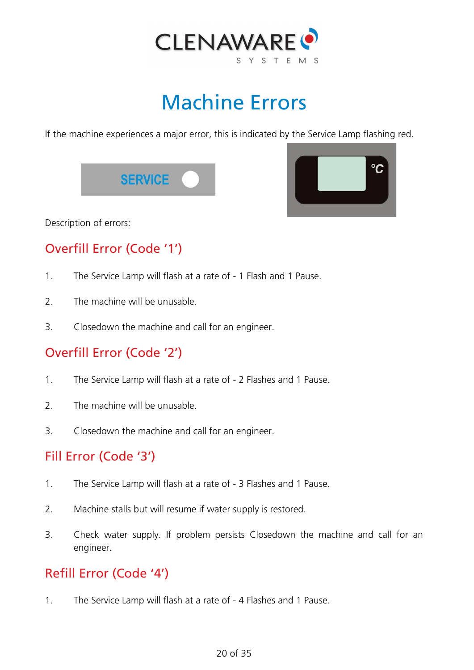

# Machine Errors

<span id="page-19-0"></span>If the machine experiences a major error, this is indicated by the Service Lamp flashing red.

**SERVICE** 



Description of errors:

## Overfill Error (Code '1')

- 1. The Service Lamp will flash at a rate of 1 Flash and 1 Pause.
- 2 The machine will be unusable.
- 3. Closedown the machine and call for an engineer.

### Overfill Error (Code '2')

- 1. The Service Lamp will flash at a rate of 2 Flashes and 1 Pause.
- 2. The machine will be unusable.
- 3. Closedown the machine and call for an engineer.

#### Fill Error (Code '3')

- 1. The Service Lamp will flash at a rate of 3 Flashes and 1 Pause.
- 2. Machine stalls but will resume if water supply is restored.
- 3. Check water supply. If problem persists Closedown the machine and call for an engineer.

#### Refill Error (Code '4')

1. The Service Lamp will flash at a rate of - 4 Flashes and 1 Pause.

#### 20 of 35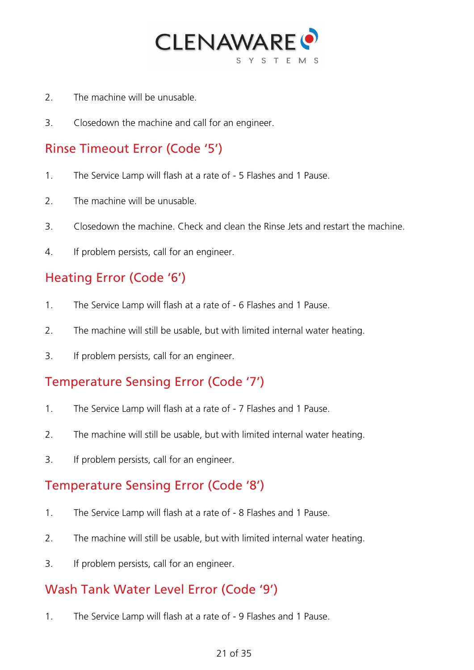

- 2. The machine will be unusable.
- 3. Closedown the machine and call for an engineer.

#### Rinse Timeout Error (Code '5')

- 1. The Service Lamp will flash at a rate of 5 Flashes and 1 Pause.
- 2. The machine will be unusable.
- 3. Closedown the machine. Check and clean the Rinse Jets and restart the machine.
- 4. If problem persists, call for an engineer.

#### Heating Error (Code '6')

- 1. The Service Lamp will flash at a rate of 6 Flashes and 1 Pause.
- 2. The machine will still be usable, but with limited internal water heating.
- 3. If problem persists, call for an engineer.

#### Temperature Sensing Error (Code '7')

- 1. The Service Lamp will flash at a rate of 7 Flashes and 1 Pause.
- 2. The machine will still be usable, but with limited internal water heating.
- 3. If problem persists, call for an engineer.

#### Temperature Sensing Error (Code '8')

- 1. The Service Lamp will flash at a rate of 8 Flashes and 1 Pause.
- 2. The machine will still be usable, but with limited internal water heating.
- 3. If problem persists, call for an engineer.

#### Wash Tank Water Level Error (Code '9')

1. The Service Lamp will flash at a rate of - 9 Flashes and 1 Pause.

#### 21 of 35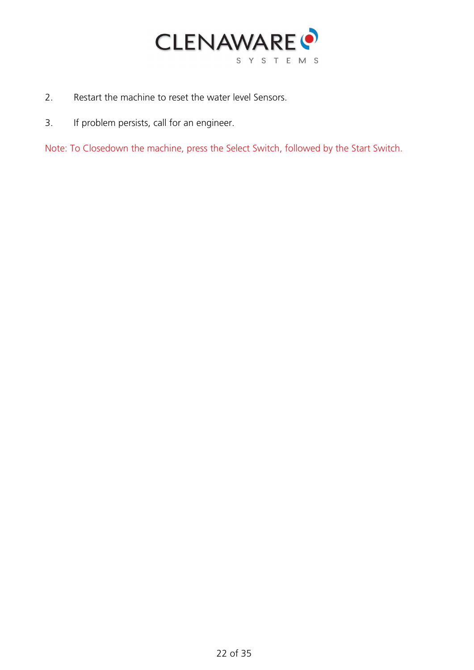

- 2. Restart the machine to reset the water level Sensors.
- 3. If problem persists, call for an engineer.

Note: To Closedown the machine, press the Select Switch, followed by the Start Switch.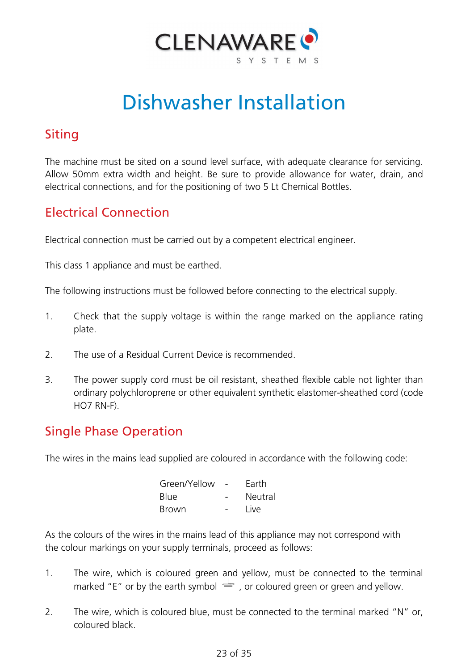

# Dishwasher Installation

### <span id="page-22-0"></span>Siting

The machine must be sited on a sound level surface, with adequate clearance for servicing. Allow 50mm extra width and height. Be sure to provide allowance for water, drain, and electrical connections, and for the positioning of two 5 Lt Chemical Bottles.

#### Electrical Connection

Electrical connection must be carried out by a competent electrical engineer.

This class 1 appliance and must be earthed.

The following instructions must be followed before connecting to the electrical supply.

- 1. Check that the supply voltage is within the range marked on the appliance rating plate.
- 2. The use of a Residual Current Device is recommended.
- 3. The power supply cord must be oil resistant, sheathed flexible cable not lighter than ordinary polychloroprene or other equivalent synthetic elastomer-sheathed cord (code HO7 RN-F).

#### Single Phase Operation

The wires in the mains lead supplied are coloured in accordance with the following code:

| Green/Yellow | Earth   |
|--------------|---------|
| <b>Blue</b>  | Neutral |
| <b>Brown</b> | Live    |

As the colours of the wires in the mains lead of this appliance may not correspond with the colour markings on your supply terminals, proceed as follows:

- 1. The wire, which is coloured green and yellow, must be connected to the terminal marked "E" or by the earth symbol  $\frac{1}{\sqrt{2}}$ , or coloured green or green and yellow.
- 2. The wire, which is coloured blue, must be connected to the terminal marked "N" or, coloured black.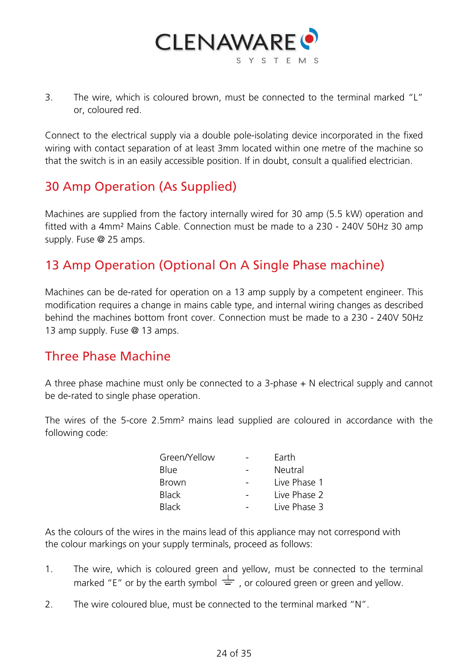

3. The wire, which is coloured brown, must be connected to the terminal marked "L" or, coloured red.

Connect to the electrical supply via a double pole-isolating device incorporated in the fixed wiring with contact separation of at least 3mm located within one metre of the machine so that the switch is in an easily accessible position. If in doubt, consult a qualified electrician.

#### 30 Amp Operation (As Supplied)

Machines are supplied from the factory internally wired for 30 amp (5.5 kW) operation and fitted with a 4mm² Mains Cable. Connection must be made to a 230 - 240V 50Hz 30 amp supply. Fuse @ 25 amps.

#### 13 Amp Operation (Optional On A Single Phase machine)

Machines can be de-rated for operation on a 13 amp supply by a competent engineer. This modification requires a change in mains cable type, and internal wiring changes as described behind the machines bottom front cover. Connection must be made to a 230 - 240V 50Hz 13 amp supply. Fuse @ 13 amps.

#### Three Phase Machine

A three phase machine must only be connected to a 3-phase + N electrical supply and cannot be de-rated to single phase operation.

The wires of the 5-core 2.5mm² mains lead supplied are coloured in accordance with the following code:

| Green/Yellow | Earth        |
|--------------|--------------|
| <b>Blue</b>  | Neutral      |
| <b>Brown</b> | Live Phase 1 |
| <b>Black</b> | Live Phase 2 |
| <b>Black</b> | Live Phase 3 |

As the colours of the wires in the mains lead of this appliance may not correspond with the colour markings on your supply terminals, proceed as follows:

- 1. The wire, which is coloured green and yellow, must be connected to the terminal marked "E" or by the earth symbol  $\frac{1}{\sqrt{2}}$ , or coloured green or green and yellow.
- 2. The wire coloured blue, must be connected to the terminal marked "N".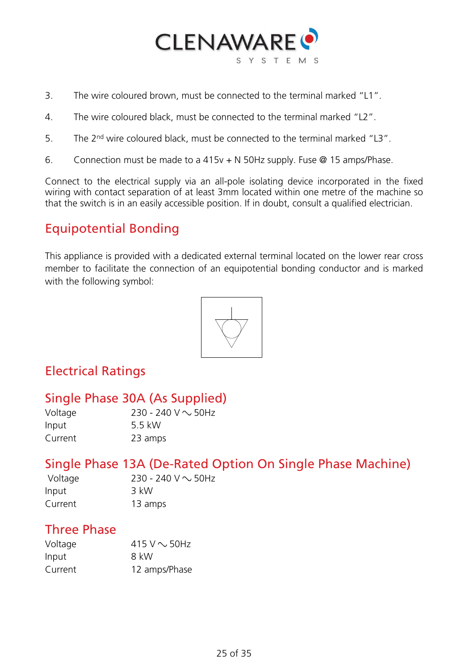

- 3. The wire coloured brown, must be connected to the terminal marked "L1".
- 4. The wire coloured black, must be connected to the terminal marked "L2".
- 5. The 2<sup>nd</sup> wire coloured black, must be connected to the terminal marked "L3".
- 6. Connection must be made to a 415v + N 50Hz supply. Fuse @ 15 amps/Phase.

Connect to the electrical supply via an all-pole isolating device incorporated in the fixed wiring with contact separation of at least 3mm located within one metre of the machine so that the switch is in an easily accessible position. If in doubt, consult a qualified electrician.

#### Equipotential Bonding

This appliance is provided with a dedicated external terminal located on the lower rear cross member to facilitate the connection of an equipotential bonding conductor and is marked with the following symbol:



#### Electrical Ratings

### Single Phase 30A (As Supplied)

| Voltage | 230 - 240 V $\sim$ 50Hz |
|---------|-------------------------|
| Input   | 5.5 kW                  |
| Current | 23 amps                 |

#### Single Phase 13A (De-Rated Option On Single Phase Machine)

| Voltage | 230 - 240 V $\sim$ 50Hz |
|---------|-------------------------|
| Input   | 3 kW                    |
| Current | 13 amps                 |

#### Three Phase

| Voltage | 415 V $\sim$ 50Hz |
|---------|-------------------|
| Input   | 8 kW              |
| Current | 12 amps/Phase     |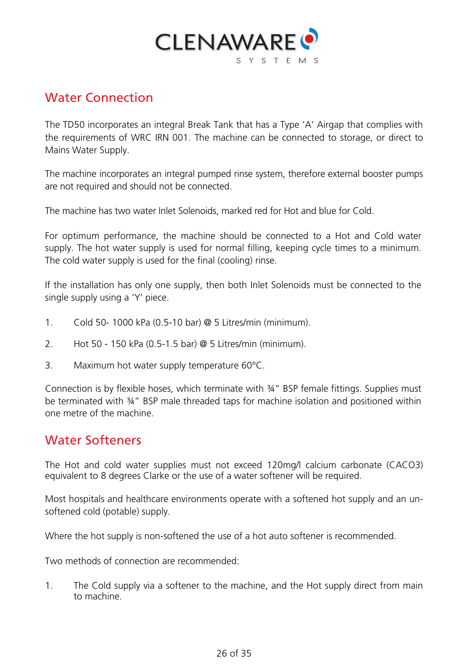

#### Water Connection

The TD50 incorporates an integral Break Tank that has a Type 'A' Airgap that complies with the requirements of WRC IRN 001. The machine can be connected to storage, or direct to Mains Water Supply.

The machine incorporates an integral pumped rinse system, therefore external booster pumps are not required and should not be connected.

The machine has two water Inlet Solenoids, marked red for Hot and blue for Cold.

For optimum performance, the machine should be connected to a Hot and Cold water supply. The hot water supply is used for normal filling, keeping cycle times to a minimum. The cold water supply is used for the final (cooling) rinse.

If the installation has only one supply, then both Inlet Solenoids must be connected to the single supply using a 'Y' piece.

- 1. Cold 50- 1000 kPa (0.5-10 bar) @ 5 Litres/min (minimum).
- 2. Hot 50 150 kPa (0.5-1.5 bar) @ 5 Litres/min (minimum).
- 3. Maximum hot water supply temperature 60°C.

Connection is by flexible hoses, which terminate with ¾" BSP female fittings. Supplies must be terminated with 34" BSP male threaded taps for machine isolation and positioned within one metre of the machine.

#### Water Softeners

The Hot and cold water supplies must not exceed 120mg/l calcium carbonate (CACO3) equivalent to 8 degrees Clarke or the use of a water softener will be required.

Most hospitals and healthcare environments operate with a softened hot supply and an unsoftened cold (potable) supply.

Where the hot supply is non-softened the use of a hot auto softener is recommended.

Two methods of connection are recommended:

1. The Cold supply via a softener to the machine, and the Hot supply direct from main to machine.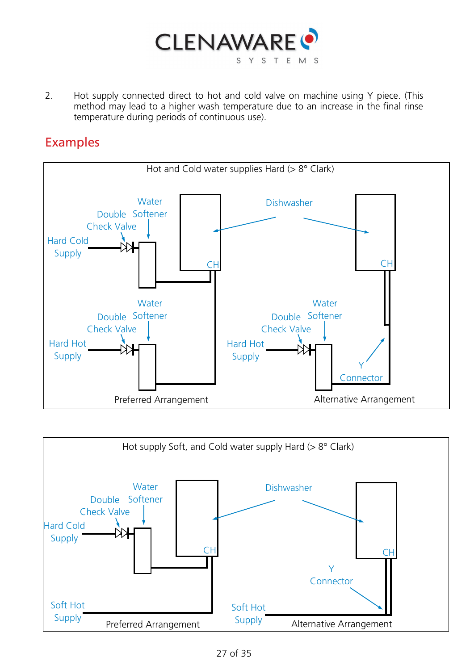

2. Hot supply connected direct to hot and cold valve on machine using Y piece. (This method may lead to a higher wash temperature due to an increase in the final rinse temperature during periods of continuous use).

#### Examples



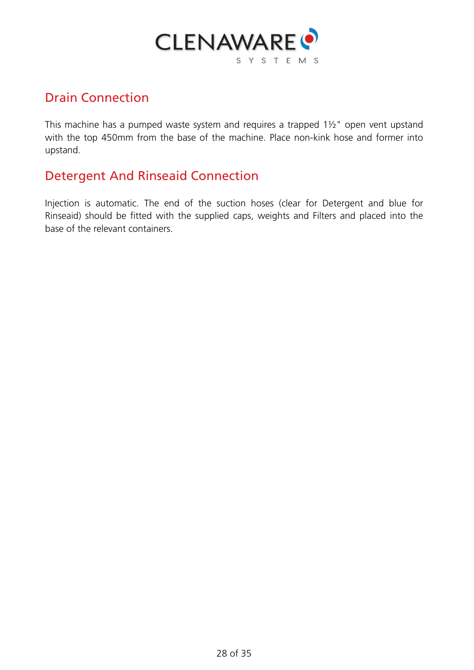

#### Drain Connection

This machine has a pumped waste system and requires a trapped 1½" open vent upstand with the top 450mm from the base of the machine. Place non-kink hose and former into upstand.

#### Detergent And Rinseaid Connection

Injection is automatic. The end of the suction hoses (clear for Detergent and blue for Rinseaid) should be fitted with the supplied caps, weights and Filters and placed into the base of the relevant containers.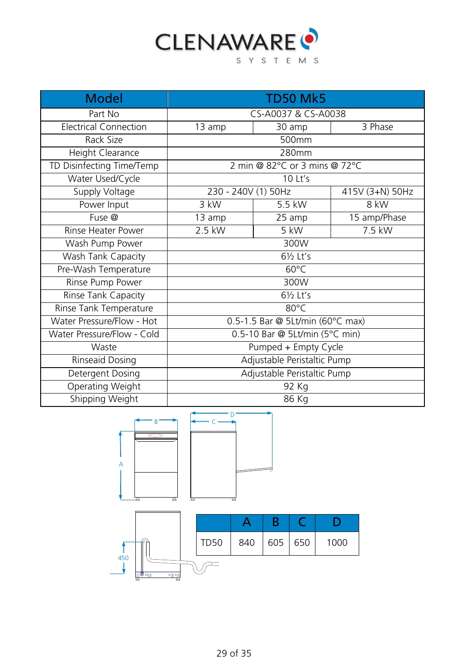

| <b>Model</b>                 | <b>TD50 Mk5</b>                  |        |                 |  |
|------------------------------|----------------------------------|--------|-----------------|--|
| Part No                      | CS-A0037 & CS-A0038              |        |                 |  |
| <b>Electrical Connection</b> | 13 amp                           | 30 amp | 3 Phase         |  |
| Rack Size                    |                                  | 500mm  |                 |  |
| Height Clearance             | 280mm                            |        |                 |  |
| TD Disinfecting Time/Temp    | 2 min @ 82°C or 3 mins @ 72°C    |        |                 |  |
| Water Used/Cycle             | 10 Lt's                          |        |                 |  |
| <b>Supply Voltage</b>        | 230 - 240V (1) 50Hz              |        | 415V (3+N) 50Hz |  |
| Power Input                  | 3 kW                             | 5.5 kW | 8 kW            |  |
| Fuse @                       | 13 amp                           | 25 amp | 15 amp/Phase    |  |
| Rinse Heater Power           | 2.5 kW                           | 5 kW   | 7.5 kW          |  |
| Wash Pump Power              | 300W                             |        |                 |  |
| Wash Tank Capacity           | 61/ <sub>2</sub> Lt's            |        |                 |  |
| Pre-Wash Temperature         | $60^{\circ}$ C                   |        |                 |  |
| Rinse Pump Power             | 300W                             |        |                 |  |
| Rinse Tank Capacity          | 61/ <sub>2</sub> Lt's            |        |                 |  |
| Rinse Tank Temperature       | 80°C                             |        |                 |  |
| Water Pressure/Flow - Hot    | 0.5-1.5 Bar @ 5Lt/min (60°C max) |        |                 |  |
| Water Pressure/Flow - Cold   | 0.5-10 Bar @ 5Lt/min (5°C min)   |        |                 |  |
| Waste                        | Pumped + Empty Cycle             |        |                 |  |
| Rinseaid Dosing              | Adjustable Peristaltic Pump      |        |                 |  |
| Detergent Dosing             | Adjustable Peristaltic Pump      |        |                 |  |
| Operating Weight             | 92 Kg                            |        |                 |  |
| Shipping Weight              | 86 Kg                            |        |                 |  |

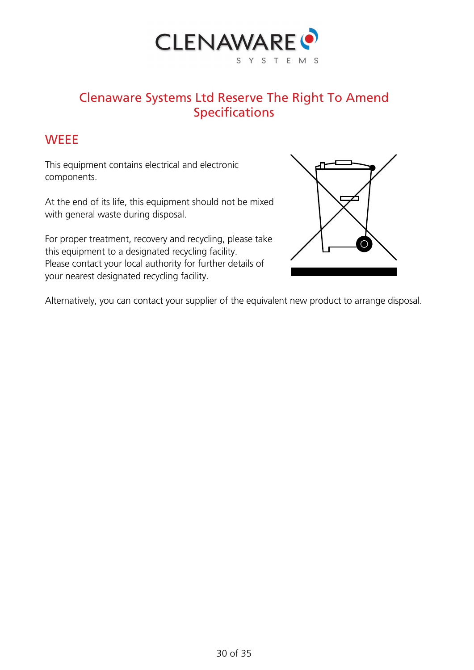

#### Clenaware Systems Ltd Reserve The Right To Amend Specifications

#### <span id="page-29-0"></span>**WEEE**

This equipment contains electrical and electronic components.

At the end of its life, this equipment should not be mixed with general waste during disposal.

For proper treatment, recovery and recycling, please take this equipment to a designated recycling facility. Please contact your local authority for further details of your nearest designated recycling facility.



<span id="page-29-1"></span>Alternatively, you can contact your supplier of the equivalent new product to arrange disposal.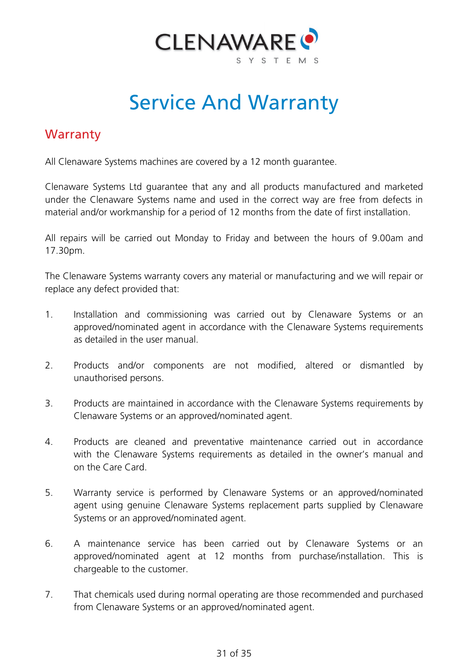

# Service And Warranty

#### <span id="page-30-0"></span>**Warranty**

All Clenaware Systems machines are covered by a 12 month guarantee.

Clenaware Systems Ltd guarantee that any and all products manufactured and marketed under the Clenaware Systems name and used in the correct way are free from defects in material and/or workmanship for a period of 12 months from the date of first installation.

All repairs will be carried out Monday to Friday and between the hours of 9.00am and 17.30pm.

The Clenaware Systems warranty covers any material or manufacturing and we will repair or replace any defect provided that:

- 1. Installation and commissioning was carried out by Clenaware Systems or an approved/nominated agent in accordance with the Clenaware Systems requirements as detailed in the user manual.
- 2. Products and/or components are not modified, altered or dismantled by unauthorised persons.
- 3. Products are maintained in accordance with the Clenaware Systems requirements by Clenaware Systems or an approved/nominated agent.
- 4. Products are cleaned and preventative maintenance carried out in accordance with the Clenaware Systems requirements as detailed in the owner's manual and on the Care Card.
- 5. Warranty service is performed by Clenaware Systems or an approved/nominated agent using genuine Clenaware Systems replacement parts supplied by Clenaware Systems or an approved/nominated agent.
- 6. A maintenance service has been carried out by Clenaware Systems or an approved/nominated agent at 12 months from purchase/installation. This is chargeable to the customer.
- 7. That chemicals used during normal operating are those recommended and purchased from Clenaware Systems or an approved/nominated agent.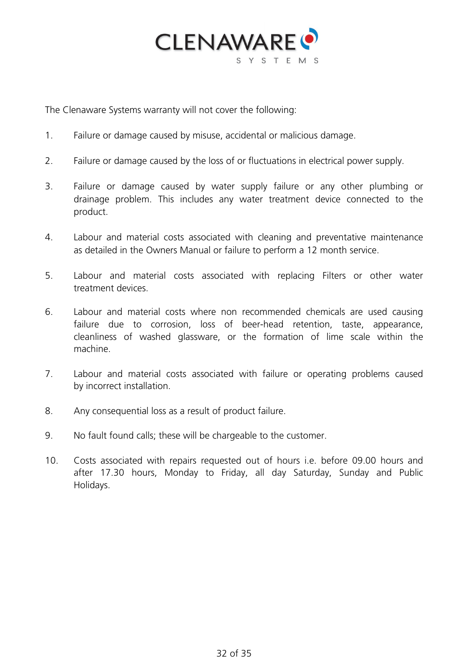

The Clenaware Systems warranty will not cover the following:

- 1. Failure or damage caused by misuse, accidental or malicious damage.
- 2. Failure or damage caused by the loss of or fluctuations in electrical power supply.
- 3. Failure or damage caused by water supply failure or any other plumbing or drainage problem. This includes any water treatment device connected to the product.
- 4. Labour and material costs associated with cleaning and preventative maintenance as detailed in the Owners Manual or failure to perform a 12 month service.
- 5. Labour and material costs associated with replacing Filters or other water treatment devices.
- 6. Labour and material costs where non recommended chemicals are used causing failure due to corrosion, loss of beer-head retention, taste, appearance, cleanliness of washed glassware, or the formation of lime scale within the machine.
- 7. Labour and material costs associated with failure or operating problems caused by incorrect installation.
- 8. Any consequential loss as a result of product failure.
- 9. No fault found calls; these will be chargeable to the customer.
- <span id="page-31-0"></span>10. Costs associated with repairs requested out of hours i.e. before 09.00 hours and after 17.30 hours, Monday to Friday, all day Saturday, Sunday and Public Holidays.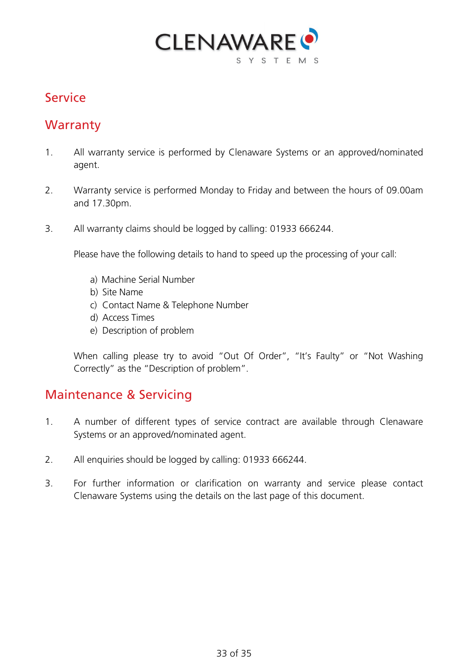

#### Service

#### **Warranty**

- 1. All warranty service is performed by Clenaware Systems or an approved/nominated agent.
- 2. Warranty service is performed Monday to Friday and between the hours of 09.00am and 17.30pm.
- 3. All warranty claims should be logged by calling: 01933 666244.

Please have the following details to hand to speed up the processing of your call:

- a) Machine Serial Number
- b) Site Name
- c) Contact Name & Telephone Number
- d) Access Times
- e) Description of problem

When calling please try to avoid "Out Of Order", "It's Faulty" or "Not Washing Correctly" as the "Description of problem".

#### Maintenance & Servicing

- 1. A number of different types of service contract are available through Clenaware Systems or an approved/nominated agent.
- 2. All enquiries should be logged by calling: 01933 666244.
- <span id="page-32-0"></span>3. For further information or clarification on warranty and service please contact Clenaware Systems using the details on the last page of this document.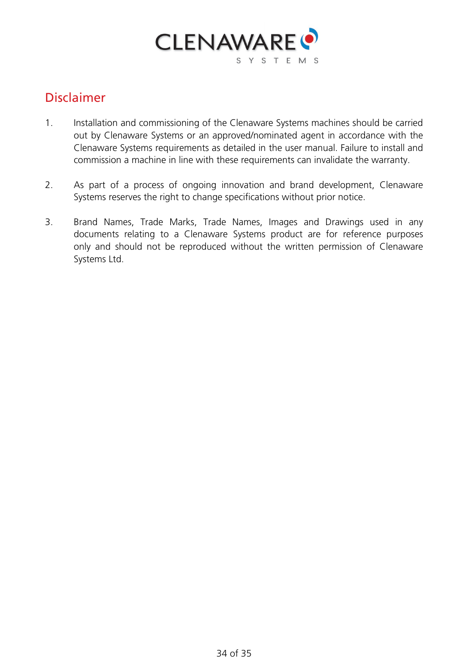

#### Disclaimer

- 1. Installation and commissioning of the Clenaware Systems machines should be carried out by Clenaware Systems or an approved/nominated agent in accordance with the Clenaware Systems requirements as detailed in the user manual. Failure to install and commission a machine in line with these requirements can invalidate the warranty.
- 2. As part of a process of ongoing innovation and brand development, Clenaware Systems reserves the right to change specifications without prior notice.
- 3. Brand Names, Trade Marks, Trade Names, Images and Drawings used in any documents relating to a Clenaware Systems product are for reference purposes only and should not be reproduced without the written permission of Clenaware Systems Ltd.